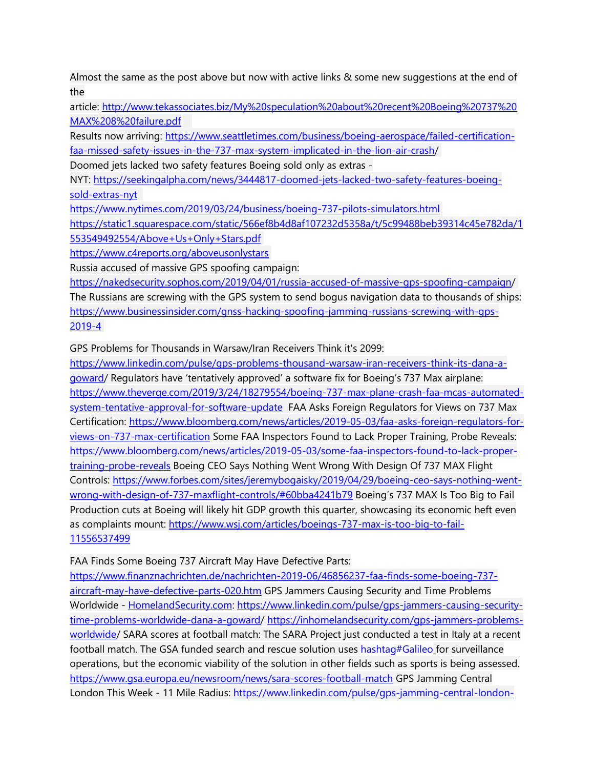Almost the same as the post above but now with active links & some new suggestions at the end of the

article: [http://www.tekassociates.biz/My%20speculation%20about%20recent%20Boeing%20737%20](http://www.tekassociates.biz/My%20speculation%20about%20recent%20Boeing%20737%20MAX%208%20failure.pdf) [MAX%208%20failure.pdf](http://www.tekassociates.biz/My%20speculation%20about%20recent%20Boeing%20737%20MAX%208%20failure.pdf)

Results now arriving: [https://www.seattletimes.com/business/boeing-aerospace/failed-certification](https://www.seattletimes.com/business/boeing-aerospace/failed-certification-faa-missed-safety-issues-in-the-737-max-system-implicated-in-the-lion-air-crash)[faa-missed-safety-issues-in-the-737-max-system-implicated-in-the-lion-air-crash/](https://www.seattletimes.com/business/boeing-aerospace/failed-certification-faa-missed-safety-issues-in-the-737-max-system-implicated-in-the-lion-air-crash)

Doomed jets lacked two safety features Boeing sold only as extras -

NYT: [https://seekingalpha.com/news/3444817-doomed-jets-lacked-two-safety-features-boeing](https://seekingalpha.com/news/3444817-doomed-jets-lacked-two-safety-features-boeing-sold-extras-nyt)[sold-extras-nyt](https://seekingalpha.com/news/3444817-doomed-jets-lacked-two-safety-features-boeing-sold-extras-nyt) 

<https://www.nytimes.com/2019/03/24/business/boeing-737-pilots-simulators.html>

[https://static1.squarespace.com/static/566ef8b4d8af107232d5358a/t/5c99488beb39314c45e782da/1](https://static1.squarespace.com/static/566ef8b4d8af107232d5358a/t/5c99488beb39314c45e782da/1553549492554/Above+Us+Only+Stars.pdf) [553549492554/Above+Us+Only+Stars.pdf](https://static1.squarespace.com/static/566ef8b4d8af107232d5358a/t/5c99488beb39314c45e782da/1553549492554/Above+Us+Only+Stars.pdf)

<https://www.c4reports.org/aboveusonlystars>

Russia accused of massive GPS spoofing campaign:

[https://nakedsecurity.sophos.com/2019/04/01/russia-accused-of-massive-gps-spoofing-campaign/](https://nakedsecurity.sophos.com/2019/04/01/russia-accused-of-massive-gps-spoofing-campaign) The Russians are screwing with the GPS system to send bogus navigation data to thousands of ships: [https://www.businessinsider.com/gnss-hacking-spoofing-jamming-russians-screwing-with-gps-](https://www.businessinsider.com/gnss-hacking-spoofing-jamming-russians-screwing-with-gps-2019-4)[2019-4](https://www.businessinsider.com/gnss-hacking-spoofing-jamming-russians-screwing-with-gps-2019-4)

GPS Problems for Thousands in Warsaw/Iran Receivers Think it's 2099:

[https://www.linkedin.com/pulse/gps-problems-thousand-warsaw-iran-receivers-think-its-dana-a](https://www.linkedin.com/pulse/gps-problems-thousand-warsaw-iran-receivers-think-its-dana-a-goward)[goward/](https://www.linkedin.com/pulse/gps-problems-thousand-warsaw-iran-receivers-think-its-dana-a-goward) Regulators have 'tentatively approved' a software fix for Boeing's 737 Max airplane: [https://www.theverge.com/2019/3/24/18279554/boeing-737-max-plane-crash-faa-mcas-automated](https://www.theverge.com/2019/3/24/18279554/boeing-737-max-plane-crash-faa-mcas-automated-system-tentative-approval-for-software-update)[system-tentative-approval-for-software-update](https://www.theverge.com/2019/3/24/18279554/boeing-737-max-plane-crash-faa-mcas-automated-system-tentative-approval-for-software-update) FAA Asks Foreign Regulators for Views on 737 Max Certification: [https://www.bloomberg.com/news/articles/2019-05-03/faa-asks-foreign-regulators-for](https://www.bloomberg.com/news/articles/2019-05-03/faa-asks-foreign-regulators-for-views-on-737-max-certification)[views-on-737-max-certification](https://www.bloomberg.com/news/articles/2019-05-03/faa-asks-foreign-regulators-for-views-on-737-max-certification) Some FAA Inspectors Found to Lack Proper Training, Probe Reveals: [https://www.bloomberg.com/news/articles/2019-05-03/some-faa-inspectors-found-to-lack-proper](https://www.bloomberg.com/news/articles/2019-05-03/some-faa-inspectors-found-to-lack-proper-training-probe-reveals)[training-probe-reveals](https://www.bloomberg.com/news/articles/2019-05-03/some-faa-inspectors-found-to-lack-proper-training-probe-reveals) Boeing CEO Says Nothing Went Wrong With Design Of 737 MAX Flight Controls: [https://www.forbes.com/sites/jeremybogaisky/2019/04/29/boeing-ceo-says-nothing-went](https://www.forbes.com/sites/jeremybogaisky/2019/04/29/boeing-ceo-says-nothing-went-wrong-with-design-of-737-maxflight-controls/#60bba4241b79)[wrong-with-design-of-737-maxflight-controls/#60bba4241b79](https://www.forbes.com/sites/jeremybogaisky/2019/04/29/boeing-ceo-says-nothing-went-wrong-with-design-of-737-maxflight-controls/#60bba4241b79) Boeing's 737 MAX Is Too Big to Fail Production cuts at Boeing will likely hit GDP growth this quarter, showcasing its economic heft even as complaints mount: [https://www.wsj.com/articles/boeings-737-max-is-too-big-to-fail-](https://www.wsj.com/articles/boeings-737-max-is-too-big-to-fail-11556537499)[11556537499](https://www.wsj.com/articles/boeings-737-max-is-too-big-to-fail-11556537499)

FAA Finds Some Boeing 737 Aircraft May Have Defective Parts:

[https://www.finanznachrichten.de/nachrichten-2019-06/46856237-faa-finds-some-boeing-737](https://www.finanznachrichten.de/nachrichten-2019-06/46856237-faa-finds-some-boeing-737-aircraft-may-have-defective-parts-020.htm) [aircraft-may-have-defective-parts-020.htm](https://www.finanznachrichten.de/nachrichten-2019-06/46856237-faa-finds-some-boeing-737-aircraft-may-have-defective-parts-020.htm) GPS Jammers Causing Security and Time Problems Worldwide - [HomelandSecurity.com:](http://homelandsecurity.com/) [https://www.linkedin.com/pulse/gps-jammers-causing-security](https://www.linkedin.com/pulse/gps-jammers-causing-security-time-problems-worldwide-dana-a-goward)[time-problems-worldwide-dana-a-goward/](https://www.linkedin.com/pulse/gps-jammers-causing-security-time-problems-worldwide-dana-a-goward) [https://inhomelandsecurity.com/gps-jammers-problems](https://inhomelandsecurity.com/gps-jammers-problems-worldwide)[worldwide/](https://inhomelandsecurity.com/gps-jammers-problems-worldwide) SARA scores at football match: The SARA Project just conducted a test in Italy at a recent football match. The GSA funded search and rescue solution uses [hashtag#Galileo](https://www.linkedin.com/feed/hashtag/?keywords=%23Galileo) for surveillance operations, but the economic viability of the solution in other fields such as sports is being assessed. <https://www.gsa.europa.eu/newsroom/news/sara-scores-football-match> GPS Jamming Central London This Week - 11 Mile Radius: https://www.linkedin.com/pulse/qps-jamming-central-london